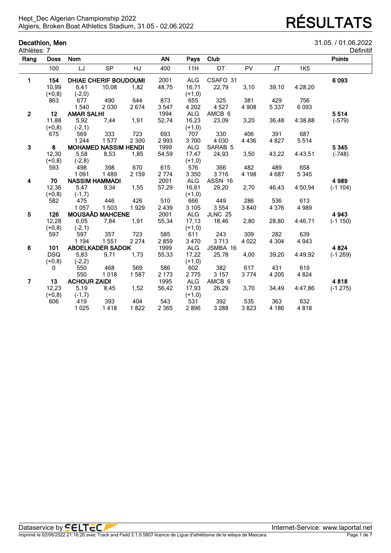## **Decathlon, Men** 31.05. / 01.06.2022

| Définitif |  |  |  |
|-----------|--|--|--|

| Athlètes: 7             |             |                       |                              |         |           |            |                    |         |         |            | Définitif     |
|-------------------------|-------------|-----------------------|------------------------------|---------|-----------|------------|--------------------|---------|---------|------------|---------------|
| Rang                    | <b>Doss</b> | <b>Nom</b>            |                              |         | <b>AN</b> | Pays       | Club               |         |         |            | <b>Points</b> |
|                         | 100         | LJ                    | <b>SP</b>                    | HJ      | 400       | 11H        | DT                 | PV      | JT      | <b>1K5</b> |               |
| 1                       | 154         |                       | <b>DHIAE CHERIF BOUDOUMI</b> |         | 2001      | <b>ALG</b> | CSAFO 31           |         |         |            | 6 0 9 3       |
|                         | 10,99       | 6,41                  | 10,08                        | 1,82    | 48,75     | 16,71      | 22,79              | 3,10    | 39,10   | 4:28,20    |               |
|                         | $(+0,8)$    | $(-2,0)$              |                              |         |           | $(+1,0)$   |                    |         |         |            |               |
|                         | 863         | 677                   | 490                          | 644     | 873       | 655        | 325                | 381     | 429     | 756        |               |
|                         |             | 1540                  | 2 0 3 0                      | 2674    | 3547      | 4 2 0 2    | 4 5 27             | 4 9 0 8 | 5 3 3 7 | 6093       |               |
| $\mathbf{2}$            | 12          | <b>AMAR SALHI</b>     |                              |         | 1994      | <b>ALG</b> | AMCB 6             |         |         |            | 5514          |
|                         | 11,88       | 5,92                  | 7,44                         | 1,91    | 52,74     | 16,23      | 23,09              | 3,20    | 36,48   | 4:38,88    | $(-579)$      |
|                         | $(+0,8)$    | $(-2, 1)$             |                              |         |           | $(+1,0)$   |                    |         |         |            |               |
|                         | 675         | 569                   | 333                          | 723     | 693       | 707        | 330                | 406     | 391     | 687        |               |
|                         |             | 1 2 4 4               | 1577                         | 2 3 0 0 | 2993      | 3700       | 4 0 3 0            | 4 4 3 6 | 4 8 2 7 | 5514       |               |
| $\mathbf{3}$            | 8           |                       | <b>MOHAMED NASSIM HENDI</b>  |         | 1999      | <b>ALG</b> | SARAB <sub>5</sub> |         |         |            | 5 3 4 5       |
|                         | 12,30       | 5,58                  | 8,53                         | 1,85    | 54,59     | 17,47      | 24,93              | 3,50    | 43,22   | 4:43,51    | $(-748)$      |
|                         | $(+0,8)$    | $(-2, 8)$             |                              |         |           | $(+1,0)$   |                    |         |         |            |               |
|                         | 593         | 498                   | 398                          | 670     | 615       | 576        | 366                | 482     | 489     | 658        |               |
|                         |             | 1 0 9 1               | 1489                         | 2 1 5 9 | 2 7 7 4   | 3 3 5 0    | 3716               | 4 1 9 8 | 4687    | 5 3 4 5    |               |
| 4                       | 70          | <b>NASSIM HAMMADI</b> |                              |         | 2001      | <b>ALG</b> | ASSN 16            |         |         |            | 4 9 8 9       |
|                         | 12,36       | 5,47                  | 9,34                         | 1,55    | 57,29     | 16,61      | 29,20              | 2,70    | 46,43   | 4:50,94    | $(-1104)$     |
|                         | $(+0,8)$    | $(-1,7)$              |                              |         |           | $(+1,0)$   |                    |         |         |            |               |
|                         | 582         | 475                   | 446                          | 426     | 510       | 666        | 449                | 286     | 536     | 613        |               |
|                         |             | 1 0 5 7               | 1503                         | 1929    | 2 4 3 9   | 3 1 0 5    | 3 5 5 4            | 3840    | 4 3 7 6 | 4 9 8 9    |               |
| $\overline{\mathbf{5}}$ | 126         |                       | <b>MOUSAÄD MAHCENE</b>       |         | 2001      | <b>ALG</b> | <b>JLNC 25</b>     |         |         |            | 4 9 4 3       |
|                         | 12,28       | 6,05                  | 7.84                         | 1,91    | 55,34     | 17,13      | 18,46              | 2,80    | 28,80   | 4:46,71    | $(-1150)$     |
|                         | $(+0,8)$    | $(-2,1)$              |                              |         |           | $(+1,0)$   |                    |         |         |            |               |
|                         | 597         | 597                   | 357                          | 723     | 585       | 611        | 243                | 309     | 282     | 639        |               |
|                         |             | 1 1 9 4               | 1551                         | 2 2 7 4 | 2859      | 3 4 7 0    | 3713               | 4 0 2 2 | 4 3 0 4 | 4 9 4 3    |               |
| 6                       | 101         |                       | <b>ABDELKADER SADOK</b>      |         | 1999      | <b>ALG</b> | JSMBA 16           |         |         |            | 4 8 24        |
|                         | <b>DSQ</b>  | 5,83                  | 9,71                         | 1,73    | 55,33     | 17,22      | 25,78              | 4,00    | 39,20   | 4:49,92    | $(-1269)$     |
|                         | $(+0,8)$    | $(-2,2)$              |                              |         |           | $(+1,0)$   |                    |         |         |            |               |
|                         | 0           | 550                   | 468                          | 569     | 586       | 602        | 382                | 617     | 431     | 619        |               |
|                         |             | 550                   | 1018                         | 1587    | 2 1 7 3   | 2775       | 3 1 5 7            | 3774    | 4 2 0 5 | 4 8 24     |               |
| $\overline{7}$          | 13          | <b>ACHOUR ZAIDI</b>   |                              |         | 1995      | <b>ALG</b> | AMCB 6             |         |         |            | 4818          |
|                         | 12,23       | 5,19                  | 8.45                         | 1,52    | 56,42     | 17,93      | 26,29              | 3,70    | 34,49   | 4:47,86    | $(-1275)$     |
|                         | $(+0,8)$    | $(-1,7)$              |                              |         |           | $(+1,0)$   |                    |         |         |            |               |
|                         | 606         | 419                   | 393                          | 404     | 543       | 531        | 392                | 535     | 363     | 632        |               |
|                         |             | 1 0 2 5               | 1418                         | 1822    | 2 3 6 5   | 2896       | 3 2 8 8            | 3823    | 4 1 8 6 | 4818       |               |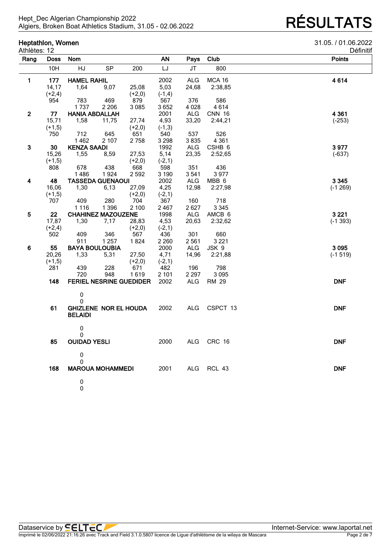**Heptathlon, Women** 31.05. / 01.06.2022

| etinitit |  |
|----------|--|
|          |  |

| Athlètes: 12   |             |                                |           |          |           |                       |                   | Définitil     |
|----------------|-------------|--------------------------------|-----------|----------|-----------|-----------------------|-------------------|---------------|
| Rang           | <b>Doss</b> | <b>Nom</b>                     |           |          | <b>AN</b> | Pays                  | Club              | <b>Points</b> |
|                | 10H         | HJ                             | <b>SP</b> | 200      | LJ        | JT                    | 800               |               |
| $\blacksquare$ | 177         | <b>HAMEL RAHIL</b>             |           |          | 2002      | <b>ALG</b>            | <b>MCA 16</b>     | 4614          |
|                | 14,17       | 1,64                           | 9,07      | 25,08    | 5,03      | 24,68                 | 2:38,85           |               |
|                | $(+2,4)$    |                                |           | $(+2,0)$ | $(-1,4)$  |                       |                   |               |
|                | 954         | 783                            | 469       | 879      | 567       | 376                   | 586               |               |
|                |             | 1737                           | 2 2 0 6   | 3 0 8 5  | 3652      | 4 0 28                | 4614              |               |
| $\overline{2}$ | 77          | <b>HANIA ABDALLAH</b>          |           |          | 2001      | <b>ALG</b>            | <b>CNN 16</b>     | 4 3 6 1       |
|                | 15,71       | 1,58                           | 11,75     | 27,74    | 4,93      | 33,20                 | 2:44,21           | $(-253)$      |
|                | $(+1,5)$    |                                |           | $(+2,0)$ | $(-1,3)$  |                       |                   |               |
|                | 750         | 712                            | 645       | 651      | 540       | 537                   | 526               |               |
|                |             | 1462                           | 2 107     | 2758     | 3 2 9 8   | 3835                  | 4 3 6 1           |               |
| 3              | 30          | <b>KENZA SAADI</b>             |           |          | 1992      |                       |                   | 3977          |
|                |             |                                |           |          |           | <b>ALG</b>            | CSHB <sub>6</sub> |               |
|                | 15,26       | 1,55                           | 8,59      | 27,53    | 5,14      | 23,35                 | 2:52,65           | $(-637)$      |
|                | $(+1,5)$    |                                |           | $(+2,0)$ | $(-2, 1)$ |                       |                   |               |
|                | 808         | 678                            | 438       | 668      | 598       | 351                   | 436               |               |
|                |             | 1486                           | 1924      | 2 592    | 3 1 9 0   | 3541                  | 3977              |               |
| 4              | 48          | <b>TASSEDA GUENAOUI</b>        |           |          | 2002      | <b>ALG</b>            | MBB 6             | 3 3 4 5       |
|                | 16,06       | 1,30                           | 6,13      | 27,09    | 4,25      | 12,98                 | 2:27,98           | $(-1269)$     |
|                | $(+1,5)$    |                                |           | $(+2,0)$ | $(-2, 1)$ |                       |                   |               |
|                | 707         | 409                            | 280       | 704      | 367       | 160                   | 718               |               |
|                |             | 1 1 1 6                        | 1 3 9 6   | 2 100    | 2467      | 2627                  | 3 3 4 5           |               |
| 5              | 22          | <b>CHAHINEZ MAZOUZENE</b>      |           |          | 1998      | ALG                   | AMCB 6            | 3 2 2 1       |
|                | 17,87       | 1,30                           | 7,17      | 28,83    | 4,53      | 20,63                 | 2:32,62           | $(-1393)$     |
|                | $(+2,4)$    |                                |           | $(+2,0)$ | $(-2,1)$  |                       |                   |               |
|                | 502         | 409                            | 346       | 567      | 436       | 301                   | 660               |               |
|                |             | 911                            | 1 2 5 7   | 1824     | 2 2 6 0   | 2561                  | 3 2 2 1           |               |
| $\bf 6$        | 55          | <b>BAYA BOULOUBIA</b>          |           |          | 2000      | <b>ALG</b>            | JSK 9             | 3 0 9 5       |
|                | 20,26       | 1,33                           | 5,31      | 27,50    | 4,71      | 14,96                 | 2:21,88           | $(-1519)$     |
|                | $(+1,5)$    |                                |           | $(+2,0)$ | $(-2, 1)$ |                       |                   |               |
|                | 281         | 439                            | 228       | 671      | 482       | 196                   | 798               |               |
|                |             | 720                            | 948       | 1619     | 2 1 0 1   | 2 2 9 7               | 3 0 9 5           |               |
|                | 148         | <b>FERIEL NESRINE GUEDIDER</b> |           |          | 2002      | <b>ALG</b>            | RM 29             | <b>DNF</b>    |
|                |             |                                |           |          |           |                       |                   |               |
|                |             | 0                              |           |          |           |                       |                   |               |
|                |             | $\mathbf{0}$                   |           |          |           |                       |                   |               |
|                | 61          | <b>GHIZLENE NOR EL HOUDA</b>   |           |          | 2002      | <b>ALG</b>            | CSPCT 13          | <b>DNF</b>    |
|                |             | <b>BELAIDI</b>                 |           |          |           |                       |                   |               |
|                |             | $\pmb{0}$                      |           |          |           |                       |                   |               |
|                |             | 0                              |           |          |           |                       |                   |               |
|                | 85          | <b>OUIDAD YESLI</b>            |           |          | 2000      | $\mathsf{ALG}\xspace$ | CRC 16            | <b>DNF</b>    |
|                |             |                                |           |          |           |                       |                   |               |
|                |             | $\pmb{0}$                      |           |          |           |                       |                   |               |
|                |             | $\mathbf{0}$                   |           |          |           |                       |                   |               |
|                | 168         | <b>MAROUA MOHAMMEDI</b>        |           |          | 2001      | ALG                   | <b>RCL 43</b>     | <b>DNF</b>    |
|                |             |                                |           |          |           |                       |                   |               |
|                |             | $\pmb{0}$                      |           |          |           |                       |                   |               |
|                |             | 0                              |           |          |           |                       |                   |               |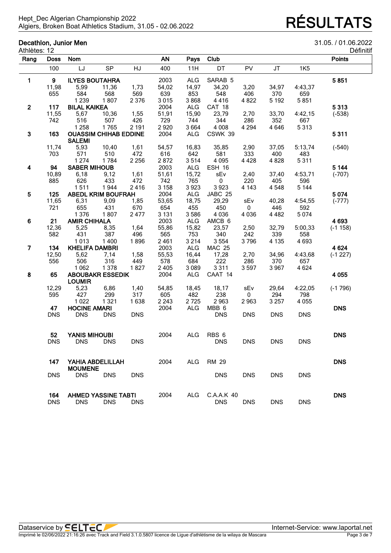### **Decathlon, Junior Men** 31.05. / 01.06.2022

| Définitif |  |
|-----------|--|
|           |  |

| Athlètes: 12   |             |                       |                              |            |           |            |                  |            |            |            | Définitit     |
|----------------|-------------|-----------------------|------------------------------|------------|-----------|------------|------------------|------------|------------|------------|---------------|
| Rang           | <b>Doss</b> | <b>Nom</b>            |                              |            | <b>AN</b> | Pays       | Club             |            |            |            | <b>Points</b> |
|                | 100         | LJ                    | <b>SP</b>                    | HJ         | 400       | 11H        | DT               | PV         | <b>JT</b>  | <b>1K5</b> |               |
| 1              | 9           | <b>ILYES BOUTAHRA</b> |                              |            | 2003      | ALG        | SARAB 5          |            |            |            | 5851          |
|                | 11,98       | 5,99                  | 11,36                        | 1,73       | 54,02     | 14,97      | 34,20            | 3,20       | 34,97      | 4:43,37    |               |
|                | 655         | 584                   | 568                          | 569        | 639       | 853        | 548              | 406        | 370        | 659        |               |
|                |             | 1 2 3 9               | 1807                         | 2 3 7 6    | 3015      | 3868       | 4416             | 4 8 2 2    | 5 1 9 2    | 5851       |               |
| $\mathbf{2}$   | 117         | <b>BILAL KAIKEA</b>   |                              |            | 2004      | <b>ALG</b> | CAT 18           |            |            |            | 5313          |
|                | 11,55       | 5,67                  | 10,36                        | 1,55       | 51,91     | 15,90      | 23,79            | 2,70       | 33,70      | 4:42,15    | $(-538)$      |
|                | 742         | 516                   | 507                          | 426        | 729       | 744        | 344              | 286        | 352        | 667        |               |
|                |             | 1 2 5 8               | 1765                         | 2 1 9 1    | 2920      | 3664       | 4 0 0 8          | 4 2 9 4    | 4 6 4 6    | 5313       |               |
| 3              | 163         |                       | <b>OUASSIM CHIHAB EDDINE</b> |            | 2004      | <b>ALG</b> | CSWK 39          |            |            |            | 5311          |
|                |             | <b>SALEMI</b>         |                              |            |           |            |                  |            |            |            |               |
|                | 11,74       | 5,93                  | 10,40                        | 1,61       | 54,57     | 16,83      | 35,85            | 2,90       | 37,05      | 5:13,74    | $(-540)$      |
|                | 703         | 571                   | 510                          | 472        | 616       | 642        | 581              | 333        | 400        | 483        |               |
|                |             | 1 2 7 4               | 1784                         | 2 2 5 6    | 2872      | 3514       | 4 0 9 5          | 4 4 2 8    | 4 8 2 8    | 5311       |               |
| 4              | 94          | <b>SABER MIHOUB</b>   |                              |            | 2003      | ALG        | ESH 16           |            |            |            | 5 1 4 4       |
|                | 10,89       | 6,18                  | 9,12                         | 1,61       | 51,61     | 15,72      | sEv              | 2,40       | 37,40      | 4:53,71    | $(-707)$      |
|                | 885         | 626                   | 433                          | 472        | 742       | 765        | 0                | 220        | 405        | 596        |               |
|                |             | 1511                  | 1944                         | 2416       | 3 1 5 8   | 3923       | 3923             |            |            |            |               |
|                | 125         |                       | <b>ABEDL KRIM BOUFRAH</b>    |            | 2004      |            |                  | 4 1 4 3    | 4548       | 5 1 4 4    | 5 0 7 4       |
| 5              |             |                       |                              |            |           | ALG        | JABC 25          |            |            |            |               |
|                | 11,65       | 6,31                  | 9,09                         | 1,85       | 53,65     | 18,75      | 29,29            | sEv        | 40,28      | 4:54,55    | $(-777)$      |
|                | 721         | 655                   | 431                          | 670        | 654       | 455        | 450              | 0          | 446        | 592        |               |
|                |             | 1 3 7 6               | 1807                         | 2477       | 3 1 3 1   | 3586       | 4 0 3 6          | 4 0 3 6    | 4 4 8 2    | 5074       |               |
| 6              | 21          | <b>AMIR CHIHALA</b>   |                              |            | 2003      | <b>ALG</b> | AMCB 6           |            |            |            | 4 6 9 3       |
|                | 12,36       | 5,25                  | 8,35                         | 1,64       | 55,86     | 15,82      | 23,57            | 2,50       | 32,79      | 5:00,33    | $(-1158)$     |
|                | 582         | 431                   | 387                          | 496        | 565       | 753        | 340              | 242        | 339        | 558        |               |
|                |             | 1013                  | 1400                         | 1896       | 2461      | 3 2 1 4    | 3 5 5 4          | 3796       | 4 1 3 5    | 4 6 9 3    |               |
| $\overline{7}$ | 134         | <b>KHELIFA DAMBRI</b> |                              |            | 2003      | <b>ALG</b> | <b>MAC 25</b>    |            |            |            | 4 6 24        |
|                | 12,50       | 5,62                  | 7,14                         | 1,58       | 55,53     | 16,44      | 17,28            | 2,70       | 34,96      | 4:43,68    | $(-1227)$     |
|                | 556         | 506                   | 316                          | 449        | 578       | 684        | 222              | 286        | 370        | 657        |               |
|                |             | 1 0 6 2               | 1 3 7 8                      | 1827       | 2 4 0 5   | 3 0 8 9    | 3311             | 3597       | 3 9 6 7    | 4 6 24     |               |
| 8              | 65          |                       | <b>ABOUBAKR ESSEDIK</b>      |            | 2004      | <b>ALG</b> | CAAT 14          |            |            |            | 4 0 5 5       |
|                |             | <b>LOUMIR</b>         |                              |            |           |            |                  |            |            |            |               |
|                | 12,29       | 5,23                  | 6,86                         | 1,40       | 54,85     | 18,45      | 18,17            | sEv        | 29,64      | 4:22,05    | $(-1796)$     |
|                | 595         | 427                   | 299                          | 317        | 605       | 482        | 238              | 0          | 294        | 798        |               |
|                |             | 1 0 2 2               | 1 3 2 1                      | 1638       | 2 2 4 3   | 2725       | 2963             | 2963       | 3 2 5 7    | 4 0 5 5    |               |
|                | 47          | <b>HOCINE AMARI</b>   |                              |            | 2004      | <b>ALG</b> | MBB 6            |            |            |            | <b>DNS</b>    |
|                | <b>DNS</b>  | <b>DNS</b>            | <b>DNS</b>                   | <b>DNS</b> |           |            | <b>DNS</b>       | <b>DNS</b> | <b>DNS</b> | <b>DNS</b> |               |
|                | 52          | <b>YANIS MIHOUBI</b>  |                              |            | 2004      | <b>ALG</b> | RBS <sub>6</sub> |            |            |            | <b>DNS</b>    |
|                | <b>DNS</b>  | DNS                   | <b>DNS</b>                   | <b>DNS</b> |           |            | <b>DNS</b>       | <b>DNS</b> | <b>DNS</b> | <b>DNS</b> |               |
|                | 147         | YAHIA ABDELILLAH      |                              |            | 2004      | <b>ALG</b> | <b>RM 29</b>     |            |            |            | <b>DNS</b>    |
|                |             | <b>MOUMENE</b>        |                              |            |           |            |                  |            |            |            |               |
|                | <b>DNS</b>  | <b>DNS</b>            | <b>DNS</b>                   | <b>DNS</b> |           |            | <b>DNS</b>       | <b>DNS</b> | <b>DNS</b> | <b>DNS</b> |               |
|                | 164         |                       | <b>AHMED YASSINE TABTI</b>   |            | 2004      | ALG        | C.A.A.K 40       |            |            |            | <b>DNS</b>    |
|                | <b>DNS</b>  | <b>DNS</b>            | <b>DNS</b>                   | <b>DNS</b> |           |            | <b>DNS</b>       | <b>DNS</b> | <b>DNS</b> | <b>DNS</b> |               |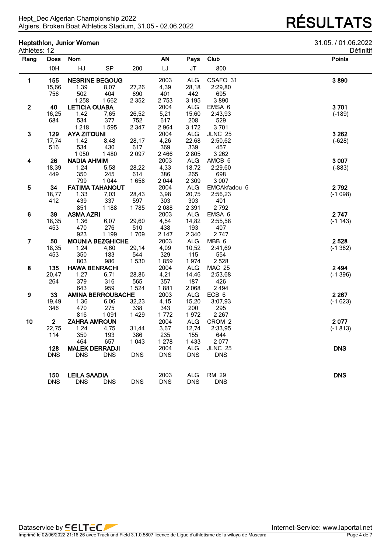# **Heptathlon, Junior Women** 31.05. / 01.06.2022

| etinitit |  |  |
|----------|--|--|
|          |  |  |

| Athlètes: 12            |              |                      |                          |            |            |            |                  | Définiti      |
|-------------------------|--------------|----------------------|--------------------------|------------|------------|------------|------------------|---------------|
| Rang                    | Doss         | <b>Nom</b>           |                          |            | <b>AN</b>  | Pays       | Club             | <b>Points</b> |
|                         | 10H          | HJ                   | <b>SP</b>                | 200        | LJ         | <b>JT</b>  | 800              |               |
| $\blacksquare$          | 155          |                      | <b>NESRINE BEGOUG</b>    |            | 2003       | <b>ALG</b> | CSAFO 31         | 3890          |
|                         | 15,66        | 1,39                 | 8,07                     | 27,26      | 4,39       | 28,18      | 2:29,80          |               |
|                         | 756          | 502                  | 404                      | 690        | 401        | 442        | 695              |               |
|                         |              | 1 2 5 8              | 1662                     | 2 3 5 2    | 2 7 5 3    | 3 1 9 5    | 3890             |               |
| $\mathbf{2}$            | 40           | <b>LETICIA OUABA</b> |                          |            | 2004       | <b>ALG</b> | EMSA 6           | 3701          |
|                         | 16,25        | 1,42                 | 7,65                     | 26,52      | 5,21       | 15,60      | 2:43,93          | $(-189)$      |
|                         | 684          | 534                  | 377                      | 752        | 617        | 208        | 529              |               |
|                         |              | 1218                 | 1595                     | 2 3 4 7    | 2964       | 3 1 7 2    | 3701             |               |
| $\mathbf{3}$            | 129          | <b>AYA ZITOUNI</b>   |                          |            | 2004       | <b>ALG</b> | <b>JLNC 25</b>   | 3 2 6 2       |
|                         | 17,74        | 1,42                 | 8,48                     | 28,17      | 4,26       | 22,68      | 2:50,62          | $(-628)$      |
|                         | 516          | 534                  | 430                      | 617        | 369        | 339        | 457              |               |
|                         |              | 1 0 5 0              | 1480                     | 2097       | 2466       | 2805       | 3 2 6 2          |               |
| $\overline{\mathbf{4}}$ | 26           | <b>NADIA AHMIM</b>   |                          |            | 2003       | ALG        | AMCB 6           | 3 0 0 7       |
|                         | 18,39        | 1,24                 | 5,58                     | 28,22      | 4,33       | 18,72      | 2:29,60          | $(-883)$      |
|                         | 449          | 350                  | 245                      | 614        | 386        | 265        | 698              |               |
|                         |              | 799                  | 1 0 4 4                  | 1658       | 2044       | 2 3 0 9    | 3 0 0 7          |               |
| $\overline{\mathbf{5}}$ | 34           |                      | <b>FATIMA TAHANOUT</b>   |            | 2004       | <b>ALG</b> | EMCAkfadou 6     | 2792          |
|                         | 18,77        | 1,33                 | 7,03                     | 28,43      | 3,98       | 20,75      | 2:56,23          | $(-1098)$     |
|                         | 412          | 439                  | 337                      | 597        | 303        | 303        | 401              |               |
|                         |              | 851                  | 1 1 8 8                  | 1785       | 2088       | 2 3 9 1    | 2792             |               |
| $\bf 6$                 | 39           | <b>ASMA AZRI</b>     |                          |            | 2003       | ALG        | EMSA 6           | 2747          |
|                         | 18,35        | 1,36                 | 6,07                     | 29,60      | 4,54       | 14,82      | 2:55,58          | $(-1143)$     |
|                         | 453          | 470                  | 276                      | 510        | 438        | 193        | 407              |               |
|                         |              | 923                  | 1 1 9 9                  | 1709       | 2 1 4 7    | 2 3 4 0    | 2747             |               |
| $\overline{7}$          | 50           |                      | <b>MOUNIA BEZGHICHE</b>  |            | 2003       | <b>ALG</b> | MBB <sub>6</sub> | 2 5 28        |
|                         | 18,35        | 1,24                 | 4,60                     | 29,14      | 4,09       | 10,52      | 2:41,69          | $(-1362)$     |
|                         | 453          | 350                  | 183                      | 544        | 329        | 115        | 554              |               |
|                         |              | 803                  | 986                      | 1530       | 1859       | 1974       | 2528             |               |
| ${\bf 8}$               | 135          | <b>HAWA BENRACHI</b> |                          |            | 2004       | <b>ALG</b> | <b>MAC 25</b>    | 2 4 9 4       |
|                         | 20,47        | 1,27                 | 6,71                     | 28,86      | 4,21       | 14,46      | 2:53,68          | $(-1396)$     |
|                         | 264          | 379                  | 316                      | 565        | 357        | 187        | 426              |               |
|                         |              | 643                  | 959                      | 1524       | 1881       | 2068       | 2 4 9 4          |               |
| 9                       | 33           |                      | <b>AMINA BERROUBACHE</b> |            | 2003       | ALG        | ECB <sub>6</sub> | 2 2 6 7       |
|                         | 19,49        | 1,36                 | 6,06                     | 32,23      | 4,15       | 15,20      | 3:07,93          | $(-1623)$     |
|                         | 346          | 470                  | 275                      | 338        | 343        | 200        | 295              |               |
|                         |              | 816                  | 1 0 9 1                  | 1429       | 1772       | 1972       | 2 2 6 7          |               |
| 10                      | $\mathbf{2}$ | <b>ZAHRA AMROUN</b>  |                          |            | 2004       | ALG        | CROM 2           | 2077          |
|                         | 22,75        | 1,24                 | 4,75                     | 31,44      | 3,67       | 12,74      | 2:33,95          | $(-1813)$     |
|                         | 114          | 350                  | 193                      | 386        | 235        | 155        | 644              |               |
|                         |              | 464                  | 657                      | 1 0 4 3    | 1 2 7 8    | 1433       | 2077             |               |
|                         | 128          |                      | <b>MALEK DERRADJI</b>    |            | 2004       | <b>ALG</b> | <b>JLNC 25</b>   | <b>DNS</b>    |
|                         | <b>DNS</b>   | <b>DNS</b>           | <b>DNS</b>               | <b>DNS</b> | <b>DNS</b> | DNS        | <b>DNS</b>       |               |
|                         | 150          | <b>LEILA SAADIA</b>  |                          |            | 2003       | <b>ALG</b> | <b>RM 29</b>     | <b>DNS</b>    |
|                         | <b>DNS</b>   | <b>DNS</b>           | <b>DNS</b>               | <b>DNS</b> | <b>DNS</b> | <b>DNS</b> | <b>DNS</b>       |               |
|                         |              |                      |                          |            |            |            |                  |               |

Imprimé le 02/06/2022 21:16:26 avec Track and Field 3.1.0.5807 licence de Ligue d'athlètisme de la wilaya de Mascara Page 4 de 7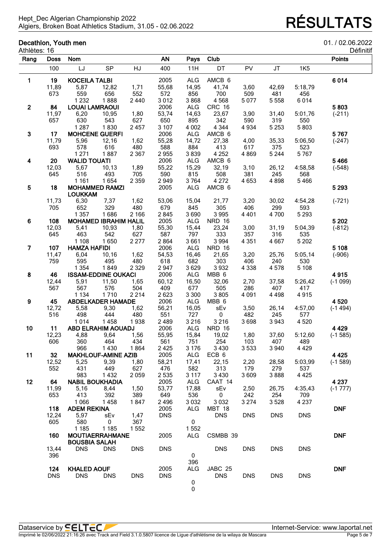## **Decathlon, Youth men**<br>Athlètes: 16

| Athlètes: 16   | Decathlon, Youth men |                                |                               |             |              |                    |                          |             |            |            | 01. / 02.06.2022<br>Définitif |
|----------------|----------------------|--------------------------------|-------------------------------|-------------|--------------|--------------------|--------------------------|-------------|------------|------------|-------------------------------|
| Rang           | <b>Doss</b>          | Nom                            |                               |             | <b>AN</b>    | Pays               | Club                     |             |            |            | <b>Points</b>                 |
|                | 100                  | LJ                             | <b>SP</b>                     | HJ          | 400          | 11H                | DT                       | PV          | JT         | <b>1K5</b> |                               |
| 1              | 19                   | <b>KOCEILA TALBI</b>           |                               |             | 2005         | <b>ALG</b>         | AMCB 6                   |             |            |            | 6014                          |
|                | 11,89                | 5,87                           | 12,82                         | 1,71        | 55,68        | 14,95              | 41,74                    | 3,60        | 42,69      | 5:18,79    |                               |
|                | 673                  | 559                            | 656                           | 552         | 572          | 856                | 700                      | 509         | 481        | 456        |                               |
|                |                      | 1 2 3 2                        | 1888                          | 2 4 4 0     | 3012         | 3868               | 4568                     | 5 0 7 7     | 5 5 5 8    | 6014       |                               |
| $\mathbf{2}$   | 84                   | <b>LOUAI LAMRAOUI</b>          |                               |             | 2006         | <b>ALG</b>         | CRC 16                   |             |            |            | 5803                          |
|                | 11,97                | 6,20                           | 10,95                         | 1,80        | 53,74        | 14,63              | 23,67                    | 3,90        | 31,40      | 5:01,76    | $(-211)$                      |
|                | 657                  | 630                            | 543                           | 627         | 650          | 895                | 342                      | 590         | 319        | 550        |                               |
|                |                      | 1 2 8 7                        | 1830                          | 2 4 5 7     | 3 107        | 4 0 0 2            | 4 3 4 4                  | 4 9 3 4     | 5 2 5 3    | 5803       |                               |
| 3              | 17                   |                                | <b>MOHCENE GUERFI</b>         |             | 2006         | <b>ALG</b>         | AMCB 6                   |             |            |            | 5767                          |
|                | 11,79                | 5,96                           | 12,16                         | 1,62        | 55,28        | 14,72              | 27,38                    | 4,00        | 35,33      | 5:06,50    | $(-247)$                      |
|                | 693                  | 578                            | 616                           | 480         | 588          | 884                | 413                      | 617         | 375        | 523        |                               |
|                |                      | 1 2 7 1                        | 1887                          | 2 3 6 7     | 2955         | 3839               | 4 2 5 2                  | 4869        | 5 2 4 4    | 5767       |                               |
| 4              | 20                   | <b>WALID TOUATI</b>            |                               |             | 2006         | <b>ALG</b>         | AMCB 6                   |             |            |            | 5466                          |
|                | 12,03                | 5,67                           | 10,13                         | 1,89        | 55,22        | 15,29              | 32,19                    | 3,10        | 26,12      | 4:58,58    | $(-548)$                      |
|                | 645                  | 516                            | 493                           | 705         | 590          | 815                | 508                      | 381         | 245        | 568        |                               |
|                | 18                   | 1 1 6 1                        | 1654<br><b>MOHAMMED RAMZI</b> | 2 3 5 9     | 2949         | 3764               | 4 2 7 2<br>AMCB 6        | 4 6 5 3     | 4898       | 5466       | 5 2 9 3                       |
| ${\bf 5}$      |                      | <b>LOUKKAM</b>                 |                               |             | 2005         | <b>ALG</b>         |                          |             |            |            |                               |
|                | 11,73                | 6,30                           | 7,37                          | 1,62        | 53,06        | 15,04              | 21,77                    | 3,20        | 30,02      | 4:54,28    | $(-721)$                      |
|                | 705                  | 652                            | 329                           | 480         | 679          | 845                | 305                      | 406         | 299        | 593        |                               |
|                |                      | 1 3 5 7                        | 1686                          | 2 1 6 6     | 2845         | 3690               | 3 9 9 5                  | 4 4 0 1     | 4700       | 5 2 9 3    |                               |
| 6              | 108                  |                                | <b>MOHAMED IBRAHIM HALIL</b>  |             | 2005         | <b>ALG</b>         | <b>NRD 16</b>            |             |            |            | 5 2 0 2                       |
|                | 12,03                | 5,41                           | 10,93                         | 1,80        | 55,30        | 15,44              | 23,24                    | 3,00        | 31,19      | 5:04,39    | $(-812)$                      |
|                | 645                  | 463                            | 542                           | 627         | 587          | 797                | 333                      | 357         | 316        | 535        |                               |
| $\overline{7}$ | 107                  | 1 1 0 8<br><b>HAMZA HAFIDI</b> | 1650                          | 2 2 7 7     | 2864<br>2006 | 3661<br><b>ALG</b> | 3 9 9 4<br><b>NRD 16</b> | 4 3 5 1     | 4667       | 5 2 0 2    | 5 1 0 8                       |
|                |                      | 6,04                           |                               |             | 54,53        | 16,46              | 21,65                    |             | 25,76      | 5:05,14    |                               |
|                | 11,47<br>759         | 595                            | 10, 16<br>495                 | 1,62<br>480 | 618          | 682                | 303                      | 3,20<br>406 | 240        | 530        | $(-906)$                      |
|                |                      | 1 3 5 4                        | 1849                          | 2 3 2 9     | 2947         | 3629               | 3932                     | 4 3 3 8     | 4578       | 5 1 0 8    |                               |
| 8              | 46                   |                                | <b>ISSAM-EDDINE OUKACI</b>    |             | 2006         | <b>ALG</b>         | MBB 6                    |             |            |            | 4915                          |
|                | 12,44                | 5,91                           | 11,50                         | 1,65        | 60,12        | 16,50              | 32,06                    | 2,70        | 37,58      | 5:26,42    | $(-1099)$                     |
|                | 567                  | 567                            | 576                           | 504         | 409          | 677                | 505                      | 286         | 407        | 417        |                               |
|                |                      | 1 1 3 4                        | 1710                          | 2 2 1 4     | 2623         | 3 3 0 0            | 3805                     | 4 0 9 1     | 4 4 9 8    | 4915       |                               |
| 9              | 45                   | <b>ABDELKADER HAMADE</b>       |                               |             | 2006         | ALG                | MBB <sub>6</sub>         |             |            |            | 4520                          |
|                | 12,72                | 5,58                           | 9,30                          | 1,62        | 56,21        | 16,05              | sEv                      | 3,50        | 26,14      | 4:57,00    | $(-1494)$                     |
|                | 516                  | 498                            | 444                           | 480         | 551          | 727                | 0                        | 482         | 245        | 577        |                               |
|                |                      | 1014                           | 1458                          | 1938        | 2489         | 3 2 1 6            | 3 2 1 6                  | 3698        | 3943       | 4520       |                               |
| 10             | 11                   | ABD ELRAHIM AOUADJ             |                               |             | 2006         | ALG                | <b>NRD 16</b>            |             |            |            | 4 4 2 9                       |
|                | 12,23                | 4,88                           | 9,64                          | 1,56        | 55,95        | 15,84              | 19,02                    | 1,80        | 37,60      | 5:12,60    | $(-1585)$                     |
|                | 606                  | 360                            | 464                           | 434         | 561          | 751                | 254                      | 103         | 407        | 489        |                               |
|                |                      | 966                            | 1430                          | 1864        | 2425         | 3 1 7 6            | 3 4 3 0                  | 3533        | 3 9 4 0    | 4 4 2 9    |                               |
| 11             | 32                   |                                | <b>MAKHLOUF-AMINE AZIB</b>    |             | 2005         | <b>ALG</b>         | ECB 6                    |             |            |            | 4 4 2 5                       |
|                | 12,52                | 5,25                           | 9,39                          | 1,80        | 58,21        | 17,41              | 22,15                    | 2,20        | 28,58      | 5:03,99    | $(-1589)$                     |
|                | 552                  | 431                            | 449                           | 627         | 476          | 582                | 313                      | 179         | 279        | 537        |                               |
|                |                      | 983                            | 1432                          | 2059        | 2535         | 3 1 1 7            | 3 4 3 0                  | 3609        | 3888       | 4 4 2 5    |                               |
| 12             | 64                   |                                | <b>NABIL BOUKHADIA</b>        |             | 2005         | <b>ALG</b>         | CAAT 14                  |             |            |            | 4 2 3 7                       |
|                | 11,99                | 5,16                           | 8,44                          | 1,50        | 53,77        | 17,88              | sEv                      | 2,50        | 26,75      | 4:35,43    | $(-1777)$                     |
|                | 653                  | 413                            | 392                           | 389         | 649          | 536                | $\mathbf 0$              | 242         | 254        | 709        |                               |
|                |                      | 1 0 6 6                        | 1458                          | 1847        | 2496         | 3 0 3 2            | 3 0 3 2                  | 3 2 7 4     | 3528       | 4 2 3 7    |                               |
|                | 118                  | <b>ADEM REKINA</b>             |                               |             | 2005         | <b>ALG</b>         | <b>MBT 18</b>            |             |            |            | <b>DNF</b>                    |
|                | 12,24                | 5,97                           | sEv                           | 1,47        | <b>DNS</b>   |                    | <b>DNS</b>               | <b>DNS</b>  | <b>DNS</b> | <b>DNS</b> |                               |
|                | 605                  | 580                            | 0                             | 367         |              | $\mathbf 0$        |                          |             |            |            |                               |
|                |                      | 1 1 8 5                        | 1 1 8 5                       | 1552        |              | 1552               |                          |             |            |            | <b>DNF</b>                    |
|                | 160                  | <b>BOUSBIA SALAH</b>           | <b>MOUTIAERRAHMANE</b>        |             | 2005         | ALG                | CSMBB 39                 |             |            |            |                               |
|                | 13,44                | <b>DNS</b>                     | <b>DNS</b>                    | <b>DNS</b>  | <b>DNS</b>   |                    | <b>DNS</b>               | <b>DNS</b>  | <b>DNS</b> | <b>DNS</b> |                               |
|                | 396                  |                                |                               |             |              | $\mathbf 0$        |                          |             |            |            |                               |
|                |                      |                                |                               |             |              | 396                |                          |             |            |            |                               |
|                | 124                  | <b>KHALED AOUF</b>             |                               |             | 2005         | ALG                | JABC 25                  |             |            |            | <b>DNF</b>                    |
|                | <b>DNS</b>           | <b>DNS</b>                     | <b>DNS</b>                    | <b>DNS</b>  | <b>DNS</b>   |                    | <b>DNS</b>               | <b>DNS</b>  | <b>DNS</b> | <b>DNS</b> |                               |
|                |                      |                                |                               |             |              | 0                  |                          |             |            |            |                               |
|                |                      |                                |                               |             |              | 0                  |                          |             |            |            |                               |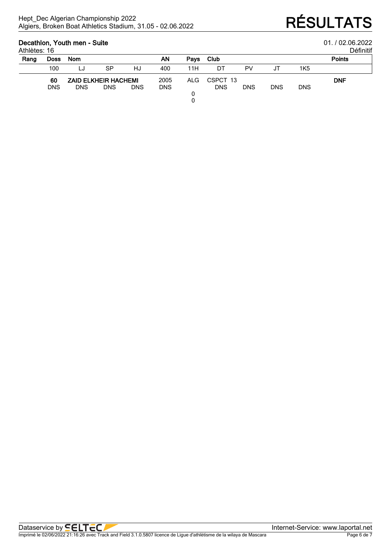### **Decathlon, Youth men - Suite** 01. / 02.06.2022

| 01/0206202 |  |
|------------|--|

|  | )éfinitif |  |
|--|-----------|--|

| Athlètes: 16 |             |            |            |                                     |            |             |            |            |            |            | Définiti      |
|--------------|-------------|------------|------------|-------------------------------------|------------|-------------|------------|------------|------------|------------|---------------|
| Rang         | <b>Doss</b> | <b>Nom</b> |            |                                     | ΑN         | <b>Pays</b> | Club       |            |            |            | <b>Points</b> |
|              | 100         | LJ         | SP         | HJ                                  | 400        | 11H         | DT         | PV         |            | 1K5        |               |
|              | 60          |            |            | 2005<br><b>ZAID ELKHEIR HACHEMI</b> | ALG        | CSPCT 13    | <b>DNF</b> |            |            |            |               |
|              | <b>DNS</b>  | <b>DNS</b> | <b>DNS</b> | <b>DNS</b>                          | <b>DNS</b> |             | <b>DNS</b> | <b>DNS</b> | <b>DNS</b> | <b>DNS</b> |               |
|              |             |            |            |                                     |            |             |            |            |            |            |               |

0